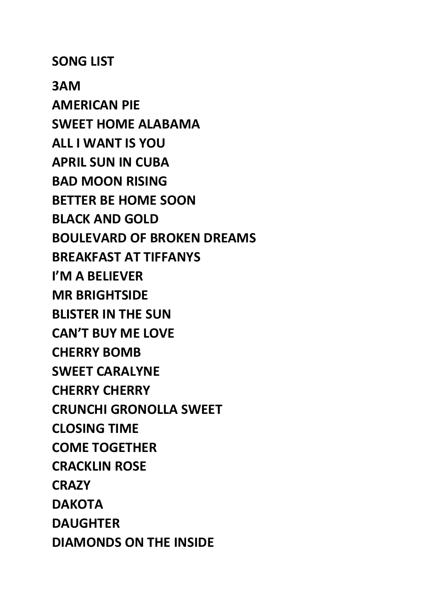**SONG LIST**

**3AM AMERICAN PIE SWEET HOME ALABAMA ALL I WANT IS YOU APRIL SUN IN CUBA BAD MOON RISING BETTER BE HOME SOON BLACK AND GOLD BOULEVARD OF BROKEN DREAMS BREAKFAST AT TIFFANYS I'M A BELIEVER MR BRIGHTSIDE BLISTER IN THE SUN CAN'T BUY ME LOVE CHERRY BOMB SWEET CARALYNE CHERRY CHERRY CRUNCHI GRONOLLA SWEET CLOSING TIME COME TOGETHER CRACKLIN ROSE CRAZY DAKOTA DAUGHTER DIAMONDS ON THE INSIDE**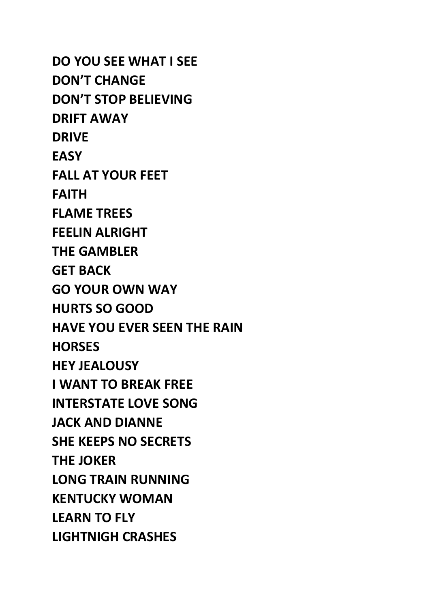**DO YOU SEE WHAT I SEE DON'T CHANGE DON'T STOP BELIEVING DRIFT AWAY DRIVE EASY FALL AT YOUR FEET FAITH FLAME TREES FEELIN ALRIGHT THE GAMBLER GET BACK GO YOUR OWN WAY HURTS SO GOOD HAVE YOU EVER SEEN THE RAIN HORSES HEY JEALOUSY I WANT TO BREAK FREE INTERSTATE LOVE SONG JACK AND DIANNE SHE KEEPS NO SECRETS THE JOKER LONG TRAIN RUNNING KENTUCKY WOMAN LEARN TO FLY LIGHTNIGH CRASHES**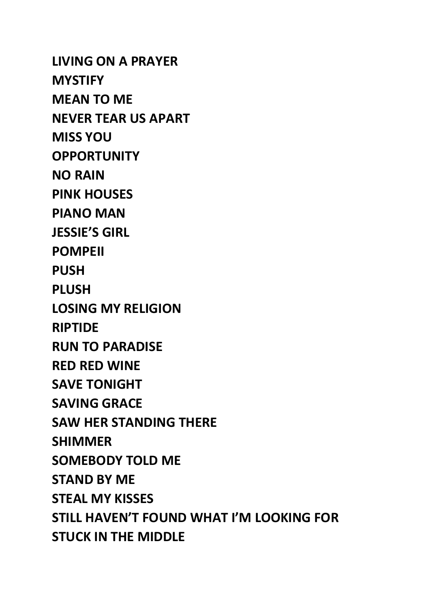**LIVING ON A PRAYER MYSTIFY MEAN TO ME NEVER TEAR US APART MISS YOU OPPORTUNITY NO RAIN PINK HOUSES PIANO MAN JESSIE'S GIRL POMPEII PUSH PLUSH LOSING MY RELIGION RIPTIDE RUN TO PARADISE RED RED WINE SAVE TONIGHT SAVING GRACE SAW HER STANDING THERE SHIMMER SOMEBODY TOLD ME STAND BY ME STEAL MY KISSES STILL HAVEN'T FOUND WHAT I'M LOOKING FOR STUCK IN THE MIDDLE**